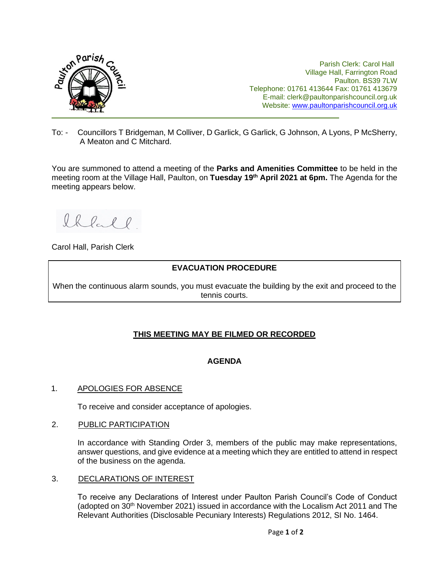

Parish Clerk: Carol Hall Village Hall, Farrington Road Paulton. BS39 7LW Telephone: 01761 413644 Fax: 01761 413679 E-mail: clerk@paultonparishcouncil.org.uk Website: [www.paultonparishcouncil.org.uk](http://www.paultonparishcouncil.org.uk/)

To: - Councillors T Bridgeman, M Colliver, D Garlick, G Garlick, G Johnson, A Lyons, P McSherry, A Meaton and C Mitchard.

You are summoned to attend a meeting of the **Parks and Amenities Committee** to be held in the meeting room at the Village Hall, Paulton, on **Tuesday 19th April 2021 at 6pm.** The Agenda for the meeting appears below.

Ihlal l

Carol Hall, Parish Clerk

## **EVACUATION PROCEDURE**

When the continuous alarm sounds, you must evacuate the building by the exit and proceed to the tennis courts.

# **THIS MEETING MAY BE FILMED OR RECORDED**

## **AGENDA**

#### 1. APOLOGIES FOR ABSENCE

To receive and consider acceptance of apologies.

#### 2. PUBLIC PARTICIPATION

In accordance with Standing Order 3, members of the public may make representations, answer questions, and give evidence at a meeting which they are entitled to attend in respect of the business on the agenda.

#### 3. DECLARATIONS OF INTEREST

To receive any Declarations of Interest under Paulton Parish Council's Code of Conduct (adopted on 30<sup>th</sup> November 2021) issued in accordance with the Localism Act 2011 and The Relevant Authorities (Disclosable Pecuniary Interests) Regulations 2012, SI No. 1464.